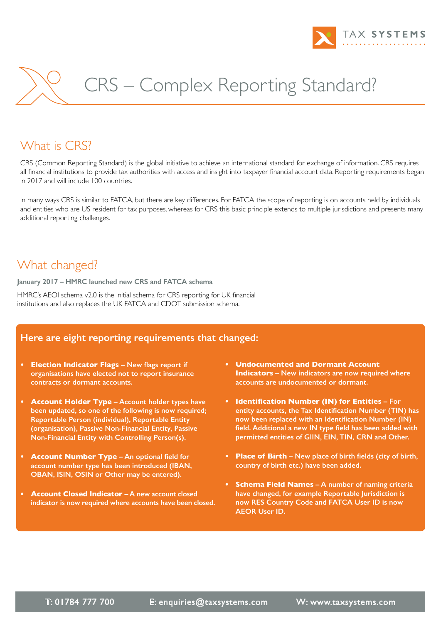

# CRS – Complex Reporting Standard?

### What is CRS?

CRS (Common Reporting Standard) is the global initiative to achieve an international standard for exchange of information. CRS requires all financial institutions to provide tax authorities with access and insight into taxpayer financial account data. Reporting requirements began in 2017 and will include 100 countries.

In many ways CRS is similar to FATCA, but there are key differences. For FATCA the scope of reporting is on accounts held by individuals and entities who are US resident for tax purposes, whereas for CRS this basic principle extends to multiple jurisdictions and presents many additional reporting challenges.

#### What changed?

**January 2017 – HMRC launched new CRS and FATCA schema**

HMRC's AEOI schema v2.0 is the initial schema for CRS reporting for UK financial institutions and also replaces the UK FATCA and CDOT submission schema.

#### **Here are eight reporting requirements that changed:**

- **• Election Indicator Flags – New flags report if organisations have elected not to report insurance contracts or dormant accounts.**
- **• Account Holder Type – Account holder types have been updated, so one of the following is now required; Reportable Person (individual), Reportable Entity (organisation), Passive Non-Financial Entity, Passive Non-Financial Entity with Controlling Person(s).**
- **• Account Number Type – An optional field for account number type has been introduced (IBAN, OBAN, ISIN, OSIN or Other may be entered).**
- **• Account Closed Indicator – A new account closed indicator is now required where accounts have been closed.**
- **Undocumented and Dormant Account Indicators – New indicators are now required where accounts are undocumented or dormant.**
- **• Identification Number (IN) for Entities – For entity accounts, the Tax Identification Number (TIN) has now been replaced with an Identification Number (IN) field. Additional a new IN type field has been added with permitted entities of GIIN, EIN, TIN, CRN and Other.**
- **• Place of Birth – New place of birth fields (city of birth, country of birth etc.) have been added.**
- **• Schema Field Names – A number of naming criteria have changed, for example Reportable Jurisdiction is now RES Country Code and FATCA User ID is now AEOR User ID.**